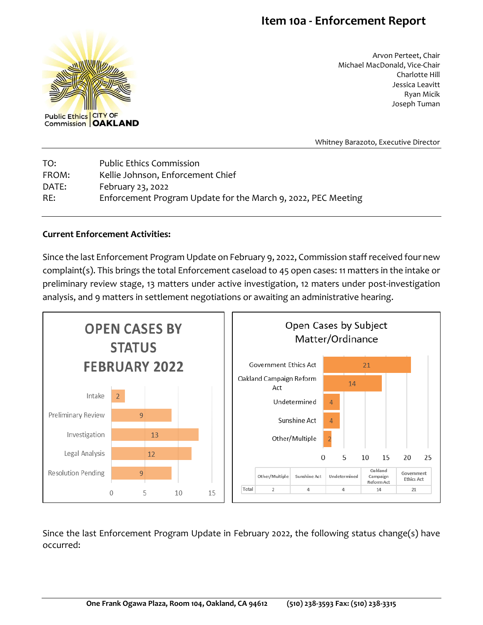## **Item 10a - Enforcement Report**



Arvon Perteet, Chair Michael MacDonald, Vice-Chair Charlotte Hill Jessica Leavitt Ryan Micik Joseph Tuman

Whitney Barazoto, Executive Director

| TO:   | <b>Public Ethics Commission</b>                               |
|-------|---------------------------------------------------------------|
| FROM: | Kellie Johnson, Enforcement Chief                             |
| DATE: | February 23, 2022                                             |
| RE:   | Enforcement Program Update for the March 9, 2022, PEC Meeting |

## **Current Enforcement Activities:**

Since the last Enforcement Program Update on February 9, 2022, Commission staff received four new complaint(s). This brings the total Enforcement caseload to 45 open cases: 11 matters in the intake or preliminary review stage, 13 matters under active investigation, 12 maters under post-investigation analysis, and 9 matters in settlement negotiations or awaiting an administrative hearing.



Since the last Enforcement Program Update in February 2022, the following status change(s) have occurred: